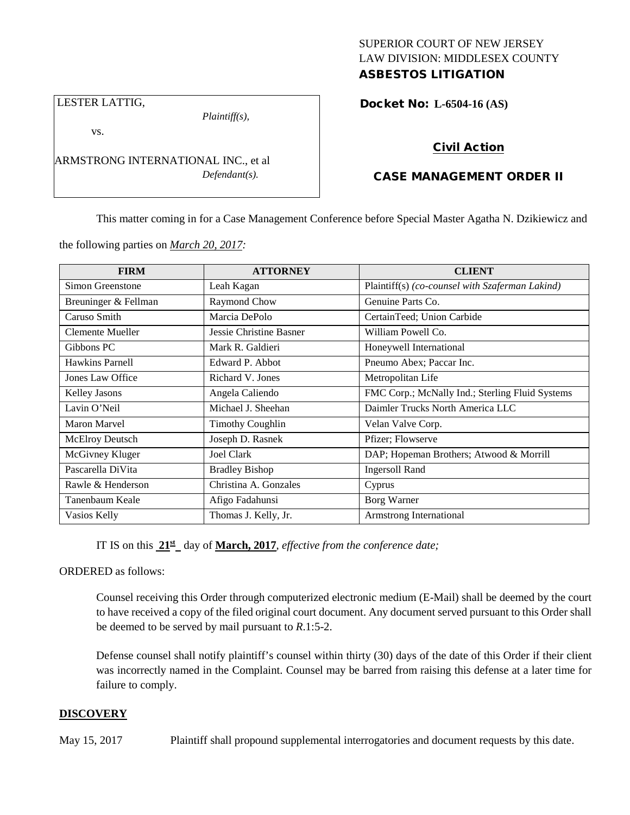# SUPERIOR COURT OF NEW JERSEY LAW DIVISION: MIDDLESEX COUNTY ASBESTOS LITIGATION

LESTER LATTIG,

*Plaintiff(s),*

Docket No: **L-6504-16 (AS)** 

vs.

ARMSTRONG INTERNATIONAL INC., et al *Defendant(s).*

# Civil Action

# CASE MANAGEMENT ORDER II

This matter coming in for a Case Management Conference before Special Master Agatha N. Dzikiewicz and

the following parties on *March 20, 2017:*

| <b>FIRM</b>            | <b>ATTORNEY</b>         | <b>CLIENT</b>                                   |
|------------------------|-------------------------|-------------------------------------------------|
| Simon Greenstone       | Leah Kagan              | Plaintiff(s) (co-counsel with Szaferman Lakind) |
| Breuninger & Fellman   | Raymond Chow            | Genuine Parts Co.                               |
| Caruso Smith           | Marcia DePolo           | CertainTeed; Union Carbide                      |
| Clemente Mueller       | Jessie Christine Basner | William Powell Co.                              |
| Gibbons PC             | Mark R. Galdieri        | Honeywell International                         |
| <b>Hawkins Parnell</b> | Edward P. Abbot         | Pneumo Abex; Paccar Inc.                        |
| Jones Law Office       | Richard V. Jones        | Metropolitan Life                               |
| <b>Kelley Jasons</b>   | Angela Caliendo         | FMC Corp.; McNally Ind.; Sterling Fluid Systems |
| Lavin O'Neil           | Michael J. Sheehan      | Daimler Trucks North America LLC                |
| Maron Marvel           | <b>Timothy Coughlin</b> | Velan Valve Corp.                               |
| McElroy Deutsch        | Joseph D. Rasnek        | Pfizer; Flowserve                               |
| McGivney Kluger        | <b>Joel Clark</b>       | DAP; Hopeman Brothers; Atwood & Morrill         |
| Pascarella DiVita      | <b>Bradley Bishop</b>   | <b>Ingersoll Rand</b>                           |
| Rawle & Henderson      | Christina A. Gonzales   | Cyprus                                          |
| Tanenbaum Keale        | Afigo Fadahunsi         | Borg Warner                                     |
| Vasios Kelly           | Thomas J. Kelly, Jr.    | Armstrong International                         |

IT IS on this **21st** day of **March, 2017**, *effective from the conference date;*

ORDERED as follows:

Counsel receiving this Order through computerized electronic medium (E-Mail) shall be deemed by the court to have received a copy of the filed original court document. Any document served pursuant to this Order shall be deemed to be served by mail pursuant to *R*.1:5-2.

Defense counsel shall notify plaintiff's counsel within thirty (30) days of the date of this Order if their client was incorrectly named in the Complaint. Counsel may be barred from raising this defense at a later time for failure to comply.

# **DISCOVERY**

May 15, 2017 Plaintiff shall propound supplemental interrogatories and document requests by this date.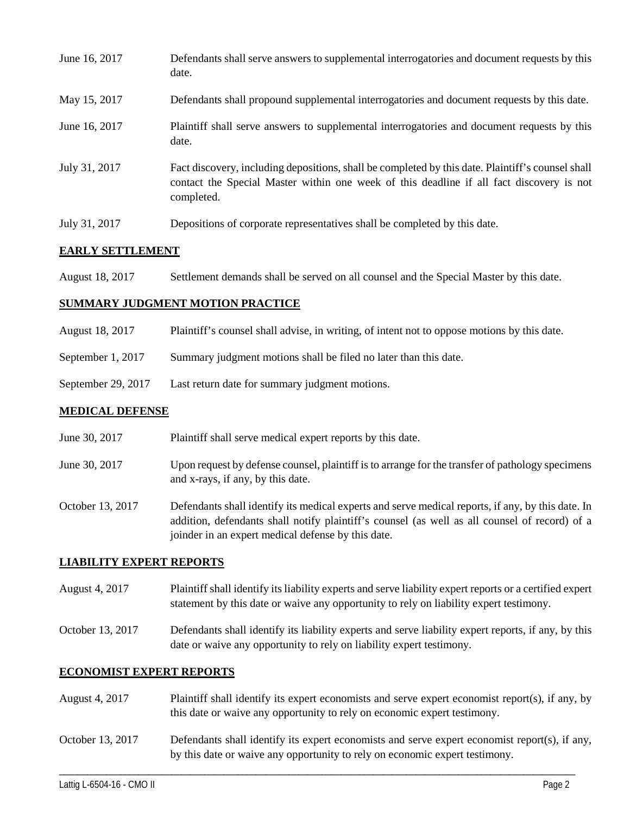| June 16, 2017 | Defendants shall serve answers to supplemental interrogatories and document requests by this<br>date.                                                                                                       |
|---------------|-------------------------------------------------------------------------------------------------------------------------------------------------------------------------------------------------------------|
| May 15, 2017  | Defendants shall propound supplemental interrogatories and document requests by this date.                                                                                                                  |
| June 16, 2017 | Plaintiff shall serve answers to supplemental interrogatories and document requests by this<br>date.                                                                                                        |
| July 31, 2017 | Fact discovery, including depositions, shall be completed by this date. Plaintiff's counsel shall<br>contact the Special Master within one week of this deadline if all fact discovery is not<br>completed. |
| July 31, 2017 | Depositions of corporate representatives shall be completed by this date.                                                                                                                                   |

# **EARLY SETTLEMENT**

August 18, 2017 Settlement demands shall be served on all counsel and the Special Master by this date.

## **SUMMARY JUDGMENT MOTION PRACTICE**

- August 18, 2017 Plaintiff's counsel shall advise, in writing, of intent not to oppose motions by this date.
- September 1, 2017 Summary judgment motions shall be filed no later than this date.
- September 29, 2017 Last return date for summary judgment motions.

#### **MEDICAL DEFENSE**

- June 30, 2017 Plaintiff shall serve medical expert reports by this date.
- June 30, 2017 Upon request by defense counsel, plaintiff is to arrange for the transfer of pathology specimens and x-rays, if any, by this date.
- October 13, 2017 Defendants shall identify its medical experts and serve medical reports, if any, by this date. In addition, defendants shall notify plaintiff's counsel (as well as all counsel of record) of a joinder in an expert medical defense by this date.

#### **LIABILITY EXPERT REPORTS**

- August 4, 2017 Plaintiff shall identify its liability experts and serve liability expert reports or a certified expert statement by this date or waive any opportunity to rely on liability expert testimony.
- October 13, 2017 Defendants shall identify its liability experts and serve liability expert reports, if any, by this date or waive any opportunity to rely on liability expert testimony.

#### **ECONOMIST EXPERT REPORTS**

- August 4, 2017 Plaintiff shall identify its expert economists and serve expert economist report(s), if any, by this date or waive any opportunity to rely on economic expert testimony.
- October 13, 2017 Defendants shall identify its expert economists and serve expert economist report(s), if any, by this date or waive any opportunity to rely on economic expert testimony.

\_\_\_\_\_\_\_\_\_\_\_\_\_\_\_\_\_\_\_\_\_\_\_\_\_\_\_\_\_\_\_\_\_\_\_\_\_\_\_\_\_\_\_\_\_\_\_\_\_\_\_\_\_\_\_\_\_\_\_\_\_\_\_\_\_\_\_\_\_\_\_\_\_\_\_\_\_\_\_\_\_\_\_\_\_\_\_\_\_\_\_\_\_\_\_\_\_\_\_\_\_\_\_\_\_\_\_\_\_\_